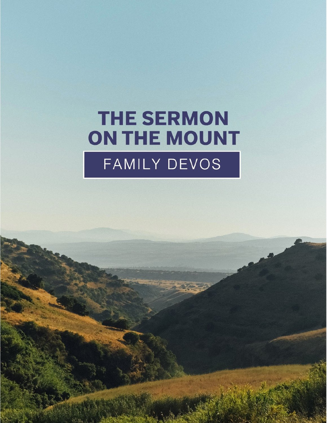# **THE SERMON** ON THE MOUNT FAMILY DEVOS

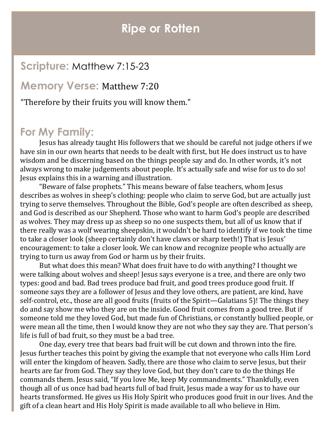## **Ripe or Rotten**

## **Scripture:** Matthew 7:15-23

#### **Memory Verse:** Matthew 7:20

"Therefore by their fruits you will know them."

## **For My Family:**

Jesus has already taught His followers that we should be careful not judge others if we have sin in our own hearts that needs to be dealt with first, but He does instruct us to have wisdom and be discerning based on the things people say and do. In other words, it's not always wrong to make judgements about people. It's actually safe and wise for us to do so! Jesus explains this in a warning and illustration.

"Beware of false prophets." This means beware of false teachers, whom Jesus describes as wolves in sheep's clothing: people who claim to serve God, but are actually just trying to serve themselves. Throughout the Bible, God's people are often described as sheep, and God is described as our Shepherd. Those who want to harm God's people are described as wolves. They may dress up as sheep so no one suspects them, but all of us know that if there really was a wolf wearing sheepskin, it wouldn't be hard to identify if we took the time to take a closer look (sheep certainly don't have claws or sharp teeth!) That is Jesus' encouragement: to take a closer look. We can know and recognize people who actually are trying to turn us away from God or harm us by their fruits.

But what does this mean? What does fruit have to do with anything? I thought we were talking about wolves and sheep! Jesus says everyone is a tree, and there are only two types: good and bad. Bad trees produce bad fruit, and good trees produce good fruit. If someone says they are a follower of Jesus and they love others, are patient, are kind, have self-control, etc., those are all good fruits (fruits of the Spirit—Galatians 5)! The things they do and say show me who they are on the inside. Good fruit comes from a good tree. But if someone told me they loved God, but made fun of Christians, or constantly bullied people, or were mean all the time, then I would know they are not who they say they are. That person's life is full of bad fruit, so they must be a bad tree.

One day, every tree that bears bad fruit will be cut down and thrown into the fire. Jesus further teaches this point by giving the example that not everyone who calls Him Lord will enter the kingdom of heaven. Sadly, there are those who claim to serve Jesus, but their hearts are far from God. They say they love God, but they don't care to do the things He commands them. Jesus said, "If you love Me, keep My commandments." Thankfully, even though all of us once had bad hearts full of bad fruit, Jesus made a way for us to have our hearts transformed. He gives us His Holy Spirit who produces good fruit in our lives. And the gift of a clean heart and His Holy Spirit is made available to all who believe in Him.